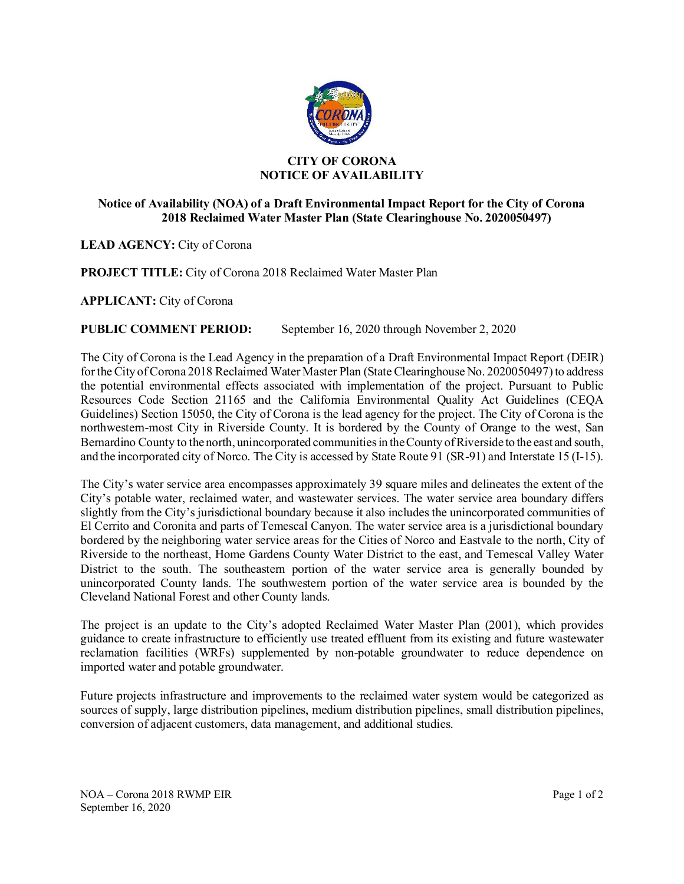

## **CITY OF CORONA NOTICE OF AVAILABILITY**

## **Notice of Availability (NOA) of a Draft Environmental Impact Report for the City of Corona 2018 Reclaimed Water Master Plan (State Clearinghouse No. 2020050497)**

LEAD AGENCY: City of Corona

**PROJECT TITLE:** City of Corona 2018 Reclaimed Water Master Plan

**APPLICANT:** City of Corona

## **PUBLIC COMMENT PERIOD:** September 16, 2020 through November 2, 2020

The City of Corona is the Lead Agency in the preparation of a Draft Environmental Impact Report (DEIR) for the City of Corona 2018 Reclaimed Water Master Plan (State Clearinghouse No. 2020050497) to address the potential environmental effects associated with implementation of the project. Pursuant to Public Resources Code Section 21165 and the California Environmental Quality Act Guidelines (CEQA Guidelines) Section 15050, the City of Corona is the lead agency for the project. The City of Corona is the northwestern-most City in Riverside County. It is bordered by the County of Orange to the west, San Bernardino County to the north, unincorporated communities in the County of Riverside to the east and south, and the incorporated city of Norco. The City is accessed by State Route 91 (SR-91) and Interstate 15 (I-15).

The City's water service area encompasses approximately 39 square miles and delineates the extent of the City's potable water, reclaimed water, and wastewater services. The water service area boundary differs slightly from the City's jurisdictional boundary because it also includes the unincorporated communities of El Cerrito and Coronita and parts of Temescal Canyon. The water service area is a jurisdictional boundary bordered by the neighboring water service areas for the Cities of Norco and Eastvale to the north, City of Riverside to the northeast, Home Gardens County Water District to the east, and Temescal Valley Water District to the south. The southeastern portion of the water service area is generally bounded by unincorporated County lands. The southwestern portion of the water service area is bounded by the Cleveland National Forest and other County lands.

The project is an update to the City's adopted Reclaimed Water Master Plan (2001), which provides guidance to create infrastructure to efficiently use treated effluent from its existing and future wastewater reclamation facilities (WRFs) supplemented by non-potable groundwater to reduce dependence on imported water and potable groundwater.

Future projects infrastructure and improvements to the reclaimed water system would be categorized as sources of supply, large distribution pipelines, medium distribution pipelines, small distribution pipelines, conversion of adjacent customers, data management, and additional studies.